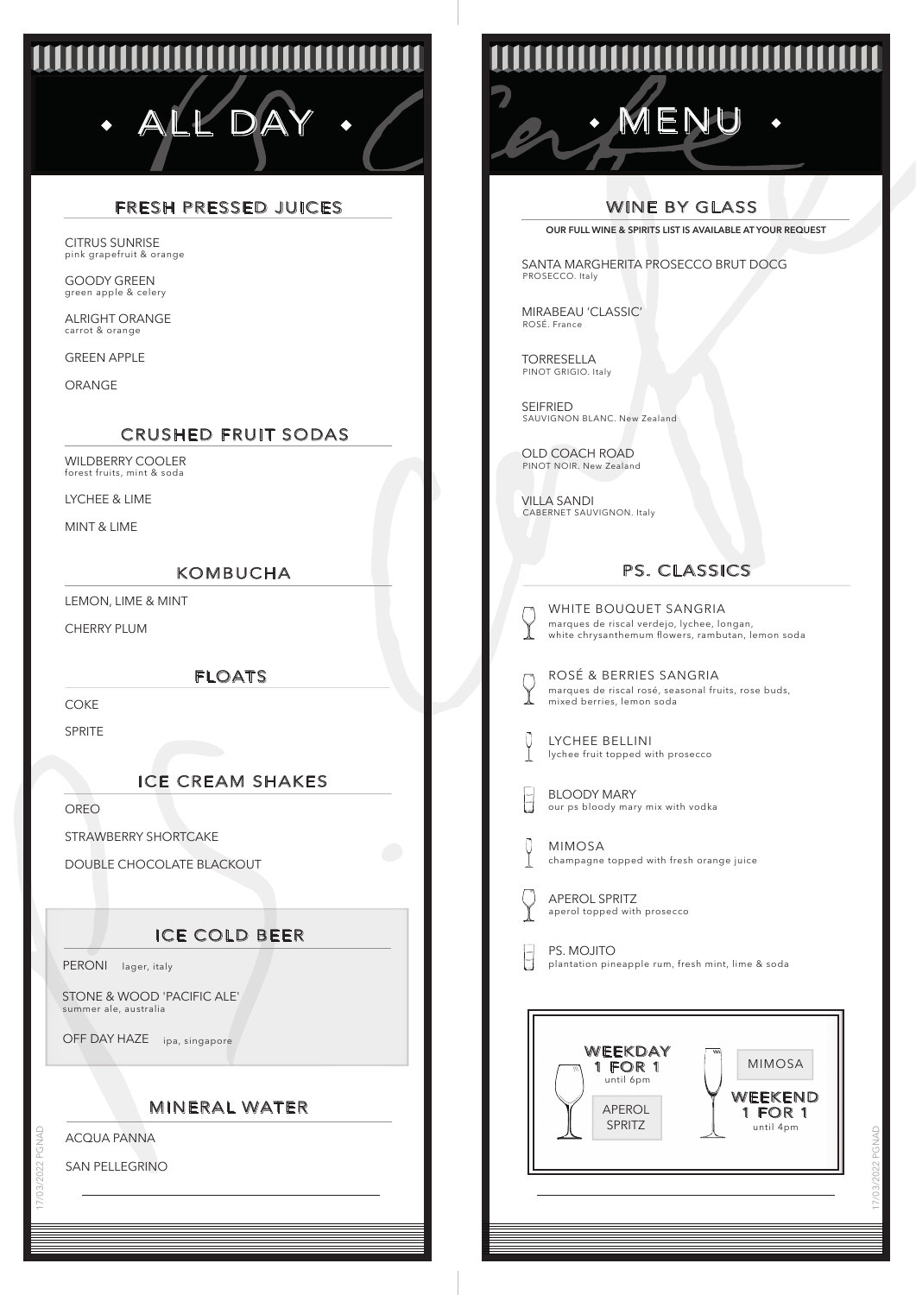# ALL DAY · / COM · MENU

# FRESH PRESSED JUICES

pink grapefruit & orange CITRUS SUNRISE

green apple & celery GOODY GREEN

carrot & orange ALRIGHT ORANGE

GREEN APPLE

ORANGE

# CRUSHED FRUIT SODAS

forest fruits, mint & soda WILDBERRY COOLER

LYCHEE & LIME

MINT & LIME

#### KOMBUCHA

LEMON, LIME & MINT

CHERRY PLUM

FLOATS

COKE

SPRITE

## ICE CREAM SHAKES

OREO

STRAWBERRY SHORTCAKE

DOUBLE CHOCOLATE BLACKOUT

# ICE COLD BEER

PERONI lager, italy

STONE & WOOD 'PACIFIC ALE' summer ale, australia

OFF DAY HAZE ipa, singapore

## MINERAL WATER

ACQUA PANNA

17/03/2022 PGNAD

SAN PELLEGRINO

# **ANANANANANAN**

# WINE BY GLASS

**OUR FULL WINE & SPIRITS LIST IS AVAILABLE AT YOUR REQUEST**

SANTA MARGHERITA PROSECCO BRUT DOCG PROSECCO. Italy

MIRABEAU 'CLASSIC' ROSÉ. France

TORRESELLA PINOT GRIGIO. Italy

SEIFRIED SAUVIGNON BLANC. New Zealand

OLD COACH ROAD PINOT NOIR. New Zealand

VILLA SANDI CABERNET SAUVIGNON. Italy

# PS. CLASSICS

WHITE BOUQUET SANGRIA marques de riscal verdejo, lychee, longan, white chrysanthemum flowers, rambutan, lemon soda

| ROSÉ & BERRIES SANGRIA                                                           |
|----------------------------------------------------------------------------------|
| marques de riscal rosé, seasonal fruits, rose buds,<br>mixed berries, lemon soda |

LYCHEE BELLINI lychee fruit topped with prosecco

BLOODY MARY our ps bloody mary mix with vodka

MIMOSA champagne topped with fresh orange juice

|--|

U

J.

 $\varsigma$ 

aperol topped with prosecco APEROL SPRITZ

PS. MOJITO plantation pineapple rum, fresh mint, lime & soda



17/03/2022 PGNAD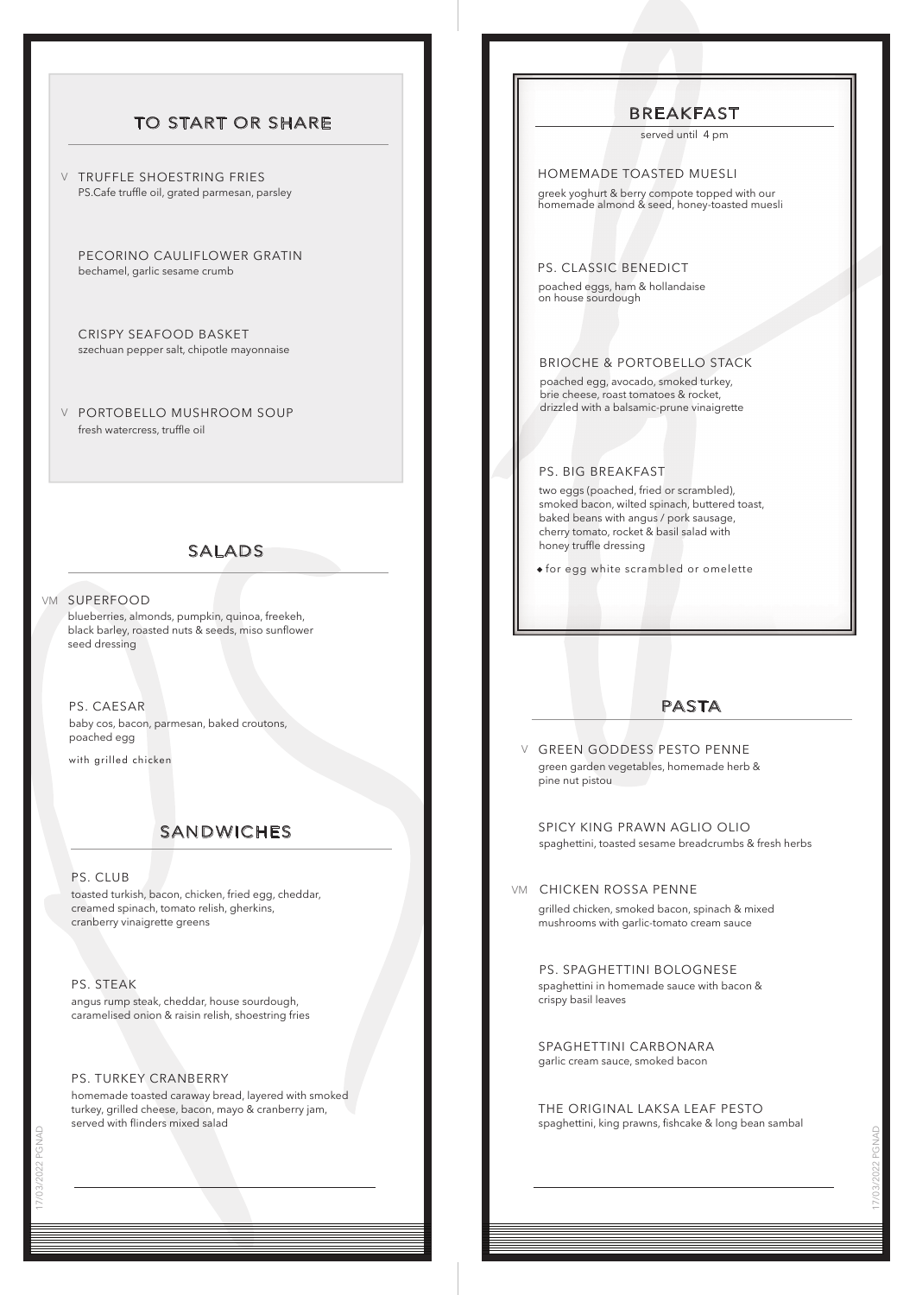# TO START OR SHARE

 $\lor$  TRUFFLE SHOESTRING FRIES PS.Cafe truffle oil, grated parmesan, parsley

PECORINO CAULIFLOWER GRATIN bechamel, garlic sesame crumb

CRISPY SEAFOOD BASKET szechuan pepper salt, chipotle mayonnaise

PORTOBELLO MUSHROOM SOUP V fresh watercress, truffle oil

#### SALADS

#### vm superfood

blueberries, almonds, pumpkin, quinoa, freekeh, black barley, roasted nuts & seeds, miso sunflower seed dressing

#### PS. CAESAR

baby cos, bacon, parmesan, baked croutons, poached egg

with grilled chicken

# SANDWICHES

#### PS. CLUB

toasted turkish, bacon, chicken, fried egg, cheddar, creamed spinach, tomato relish, gherkins, cranberry vinaigrette greens

PS. STEAK

angus rump steak, cheddar, house sourdough, caramelised onion & raisin relish, shoestring fries

#### PS. TURKEY CRANBERRY

homemade toasted caraway bread, layered with smoked turkey, grilled cheese, bacon, mayo & cranberry jam, served with flinders mixed salad

### BREAKFAST

served until 4 pm

#### HOMEMADE TOASTED MUESLI

greek yoghurt & berry compote topped with our homemade almond & seed, honey-toasted muesli

PS. CLASSIC BENEDICT

poached eggs, ham & hollandaise on house sourdough

#### BRIOCHE & PORTOBELLO STACK

poached egg, avocado, smoked turkey, brie cheese, roast tomatoes & rocket, drizzled with a balsamic-prune vinaigrette

#### PS. BIG BREAKFAST

two eggs (poached, fried or scrambled), smoked bacon, wilted spinach, buttered toast, baked beans with angus / pork sausage, cherry tomato, rocket & basil salad with honey truffle dressing

for egg white scrambled or omelette

#### PASTA

GREEN GODDESS PESTO PENNE V green garden vegetables, homemade herb & pine nut pistou

SPICY KING PRAWN AGLIO OLIO spaghettini, toasted sesame breadcrumbs & fresh herbs

#### vm - CHICKEN ROSSA PENNE

grilled chicken, smoked bacon, spinach & mixed mushrooms with garlic-tomato cream sauce

PS. SPAGHETTINI BOLOGNESE spaghettini in homemade sauce with bacon & crispy basil leaves

SPAGHETTINI CARBONARA garlic cream sauce, smoked bacon

THE ORIGINAL LAKSA LEAF PESTO spaghettini, king prawns, fishcake & long bean sambal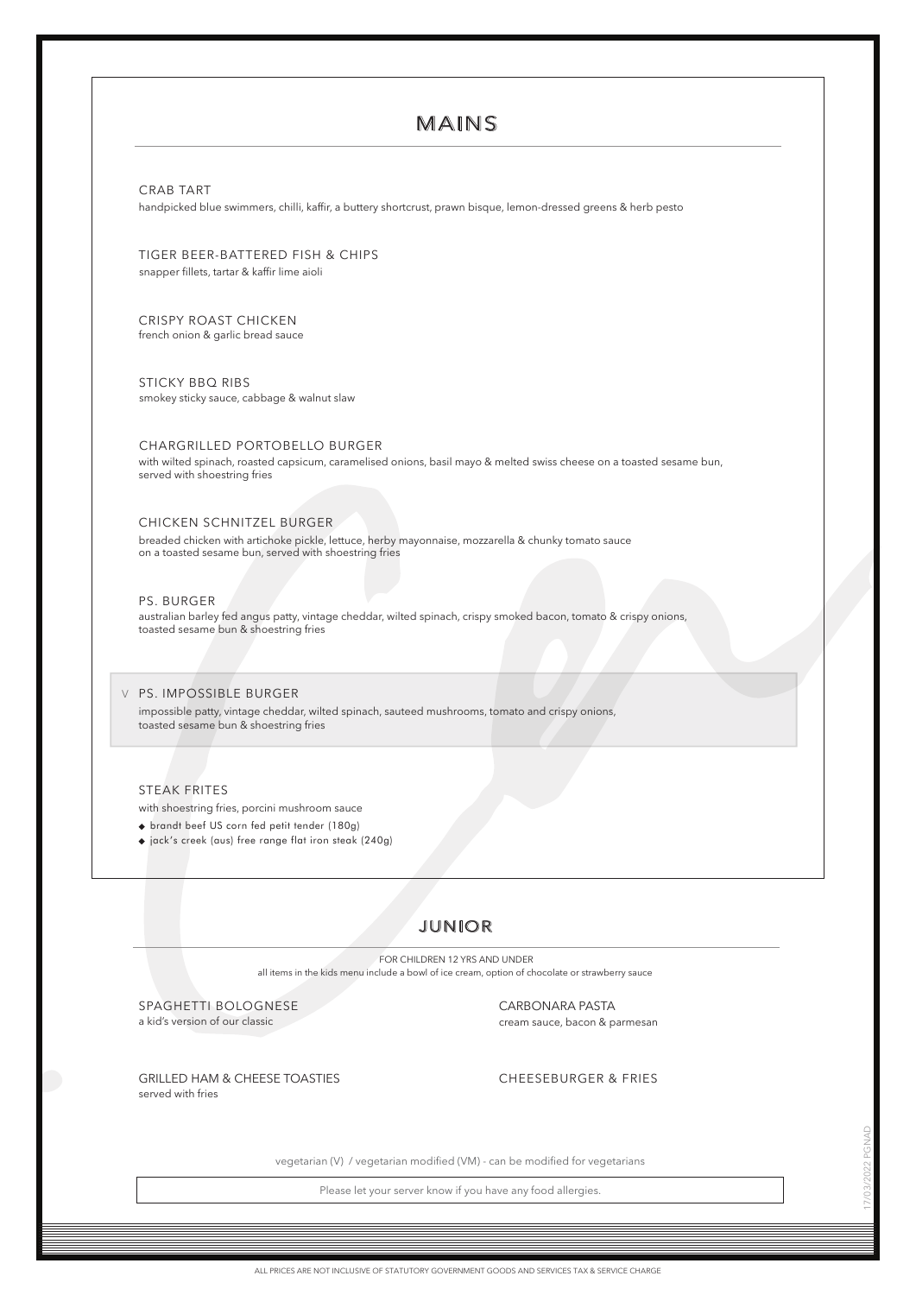# MAINS

CRAB TART

handpicked blue swimmers, chilli, kaffir, a buttery shortcrust, prawn bisque, lemon-dressed greens & herb pesto

TIGER BEER-BATTERED FISH & CHIPS snapper fillets, tartar & kaffir lime aioli

CRISPY ROAST CHICKEN french onion & garlic bread sauce

smokey sticky sauce, cabbage & walnut slaw STICKY BBQ RIBS

CHARGRILLED PORTOBELLO BURGER with wilted spinach, roasted capsicum, caramelised onions, basil mayo & melted swiss cheese on a toasted sesame bun, served with shoestring fries

#### CHICKEN SCHNITZEL BURGER

breaded chicken with artichoke pickle, lettuce, herby mayonnaise, mozzarella & chunky tomato sauce on a toasted sesame bun, served with shoestring fries

#### PS. BURGER

australian barley fed angus patty, vintage cheddar, wilted spinach, crispy smoked bacon, tomato & crispy onions, toasted sesame bun & shoestring fries

PS. IMPOSSIBLE BURGER V impossible patty, vintage cheddar, wilted spinach, sauteed mushrooms, tomato and crispy onions, toasted sesame bun & shoestring fries

#### STEAK FRITES

with shoestring fries, porcini mushroom sauce

brandt beef US corn fed petit tender (180g)

jack's creek (aus) free range flat iron steak (240g)

# JUNIOR

all items in the kids menu include a bowl of ice cream, option of chocolate or strawberry sauce FOR CHILDREN 12 YRS AND UNDER

SPAGHETTI BOLOGNESE a kid's version of our classic

CARBONARA PASTA cream sauce, bacon & parmesan

GRILLED HAM & CHEESE TOASTIES CHEESEBURGER & FRIES served with fries

vegetarian (V) / vegetarian modified (VM) - can be modified for vegetarians

Please let your server know if you have any food allergies.